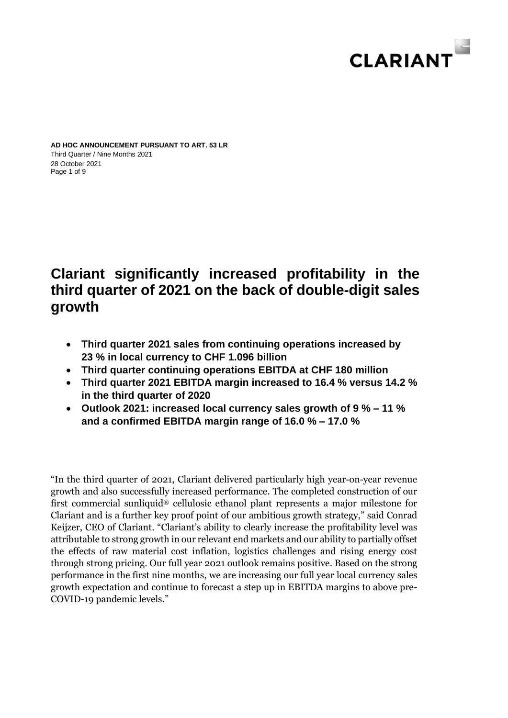

Page 1 of 9 **AD HOC ANNOUNCEMENT PURSUANT TO ART. 53 LR** Third Quarter / Nine Months 2021 28 October 2021

# **Clariant significantly increased profitability in the third quarter of 2021 on the back of double-digit sales growth**

- **Third quarter 2021 sales from continuing operations increased by 23 % in local currency to CHF 1.096 billion**
- **Third quarter continuing operations EBITDA at CHF 180 million**
- **Third quarter 2021 EBITDA margin increased to 16.4 % versus 14.2 % in the third quarter of 2020**
- **Outlook 2021: increased local currency sales growth of 9 % – 11 % and a confirmed EBITDA margin range of 16.0 % – 17.0 %**

"In the third quarter of 2021, Clariant delivered particularly high year-on-year revenue growth and also successfully increased performance. The completed construction of our first commercial sunliquid® cellulosic ethanol plant represents a major milestone for Clariant and is a further key proof point of our ambitious growth strategy," said Conrad Keijzer, CEO of Clariant. "Clariant's ability to clearly increase the profitability level was attributable to strong growth in our relevant end markets and our ability to partially offset the effects of raw material cost inflation, logistics challenges and rising energy cost through strong pricing. Our full year 2021 outlook remains positive. Based on the strong performance in the first nine months, we are increasing our full year local currency sales growth expectation and continue to forecast a step up in EBITDA margins to above pre-COVID-19 pandemic levels."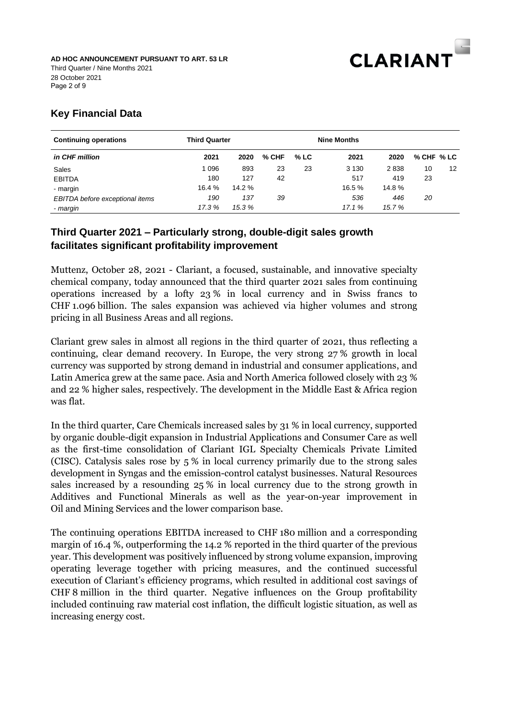

# **Key Financial Data**

| <b>Continuing operations</b>    | <b>Third Quarter</b> |        |         |        |         |        |            |    |
|---------------------------------|----------------------|--------|---------|--------|---------|--------|------------|----|
| in CHF million                  | 2021                 | 2020   | $%$ CHF | $%$ LC | 2021    | 2020   | % CHF % LC |    |
| Sales                           | 1096                 | 893    | 23      | 23     | 3 1 3 0 | 2838   | 10         | 12 |
| <b>EBITDA</b>                   | 180                  | 127    | 42      |        | 517     | 419    | 23         |    |
| - margin                        | 16.4 %               | 14.2%  |         |        | 16.5 %  | 14.8%  |            |    |
| EBITDA before exceptional items | 190                  | 137    | 39      |        | 536     | 446    | 20         |    |
| - margin                        | 17.3 %               | 15.3 % |         |        | 17.1%   | 15.7 % |            |    |

# **Third Quarter 2021 – Particularly strong, double-digit sales growth facilitates significant profitability improvement**

Muttenz, October 28, 2021 - Clariant, a focused, sustainable, and innovative specialty chemical company, today announced that the third quarter 2021 sales from continuing operations increased by a lofty 23 % in local currency and in Swiss francs to CHF 1.096 billion. The sales expansion was achieved via higher volumes and strong pricing in all Business Areas and all regions.

Clariant grew sales in almost all regions in the third quarter of 2021, thus reflecting a continuing, clear demand recovery. In Europe, the very strong 27 % growth in local currency was supported by strong demand in industrial and consumer applications, and Latin America grew at the same pace. Asia and North America followed closely with 23 % and 22 % higher sales, respectively. The development in the Middle East & Africa region was flat.

In the third quarter, Care Chemicals increased sales by 31 % in local currency, supported by organic double-digit expansion in Industrial Applications and Consumer Care as well as the first-time consolidation of Clariant IGL Specialty Chemicals Private Limited (CISC). Catalysis sales rose by 5 % in local currency primarily due to the strong sales development in Syngas and the emission-control catalyst businesses. Natural Resources sales increased by a resounding 25 % in local currency due to the strong growth in Additives and Functional Minerals as well as the year-on-year improvement in Oil and Mining Services and the lower comparison base.

The continuing operations EBITDA increased to CHF 180 million and a corresponding margin of 16.4 %, outperforming the 14.2 % reported in the third quarter of the previous year. This development was positively influenced by strong volume expansion, improving operating leverage together with pricing measures, and the continued successful execution of Clariant's efficiency programs, which resulted in additional cost savings of CHF 8 million in the third quarter. Negative influences on the Group profitability included continuing raw material cost inflation, the difficult logistic situation, as well as increasing energy cost.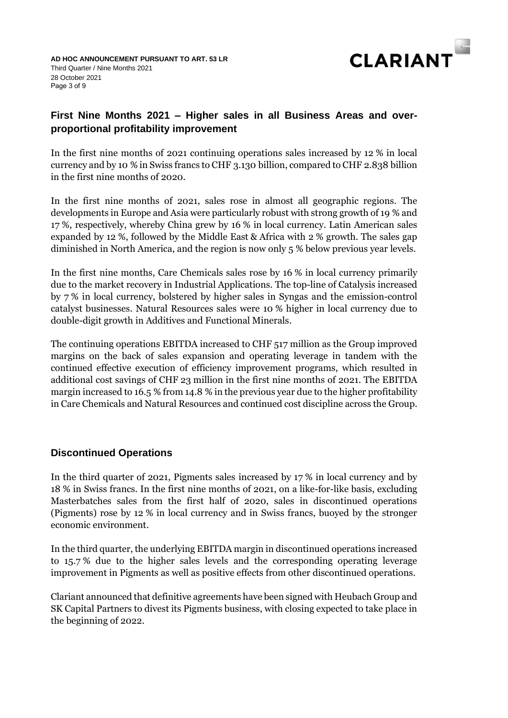

# **First Nine Months 2021 – Higher sales in all Business Areas and overproportional profitability improvement**

In the first nine months of 2021 continuing operations sales increased by 12 % in local currency and by 10 % in Swiss francs to CHF 3.130 billion, compared to CHF 2.838 billion in the first nine months of 2020.

In the first nine months of 2021, sales rose in almost all geographic regions. The developments in Europe and Asia were particularly robust with strong growth of 19 % and 17 %, respectively, whereby China grew by 16 % in local currency. Latin American sales expanded by 12 %, followed by the Middle East & Africa with 2 % growth. The sales gap diminished in North America, and the region is now only 5 % below previous year levels.

In the first nine months, Care Chemicals sales rose by 16 % in local currency primarily due to the market recovery in Industrial Applications. The top-line of Catalysis increased by 7 % in local currency, bolstered by higher sales in Syngas and the emission-control catalyst businesses. Natural Resources sales were 10 % higher in local currency due to double-digit growth in Additives and Functional Minerals.

The continuing operations EBITDA increased to CHF 517 million as the Group improved margins on the back of sales expansion and operating leverage in tandem with the continued effective execution of efficiency improvement programs, which resulted in additional cost savings of CHF 23 million in the first nine months of 2021. The EBITDA margin increased to 16.5 % from 14.8 % in the previous year due to the higher profitability in Care Chemicals and Natural Resources and continued cost discipline across the Group.

# **Discontinued Operations**

In the third quarter of 2021, Pigments sales increased by 17 % in local currency and by 18 % in Swiss francs. In the first nine months of 2021, on a like-for-like basis, excluding Masterbatches sales from the first half of 2020, sales in discontinued operations (Pigments) rose by 12 % in local currency and in Swiss francs, buoyed by the stronger economic environment.

In the third quarter, the underlying EBITDA margin in discontinued operations increased to 15.7 % due to the higher sales levels and the corresponding operating leverage improvement in Pigments as well as positive effects from other discontinued operations.

Clariant announced that definitive agreements have been signed with Heubach Group and SK Capital Partners to divest its Pigments business, with closing expected to take place in the beginning of 2022.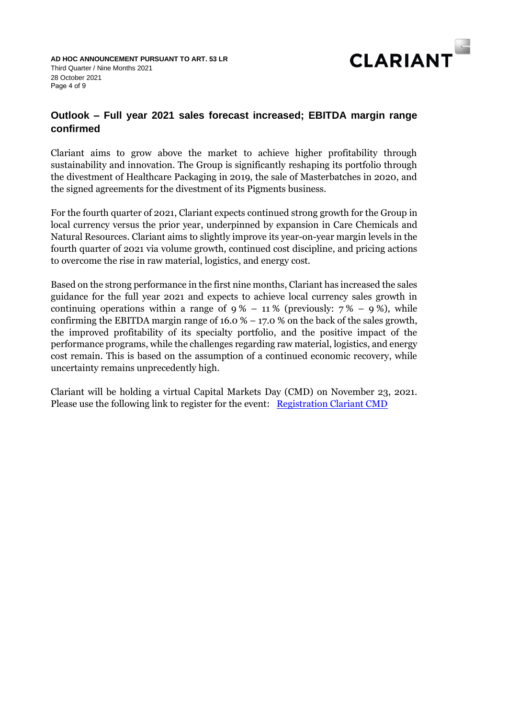

# **Outlook – Full year 2021 sales forecast increased; EBITDA margin range confirmed**

Clariant aims to grow above the market to achieve higher profitability through sustainability and innovation. The Group is significantly reshaping its portfolio through the divestment of Healthcare Packaging in 2019, the sale of Masterbatches in 2020, and the signed agreements for the divestment of its Pigments business.

For the fourth quarter of 2021, Clariant expects continued strong growth for the Group in local currency versus the prior year, underpinned by expansion in Care Chemicals and Natural Resources. Clariant aims to slightly improve its year-on-year margin levels in the fourth quarter of 2021 via volume growth, continued cost discipline, and pricing actions to overcome the rise in raw material, logistics, and energy cost.

Based on the strong performance in the first nine months, Clariant has increased the sales guidance for the full year 2021 and expects to achieve local currency sales growth in continuing operations within a range of  $9\% - 11\%$  (previously:  $7\% - 9\%$ ), while confirming the EBITDA margin range of  $16.0\% - 17.0\%$  on the back of the sales growth, the improved profitability of its specialty portfolio, and the positive impact of the performance programs, while the challenges regarding raw material, logistics, and energy cost remain. This is based on the assumption of a continued economic recovery, while uncertainty remains unprecedently high.

Clariant will be holding a virtual Capital Markets Day (CMD) on November 23, 2021. Please use the following link to register for the event: [Registration Clariant CMD](http://www.clariant.com/CMD21)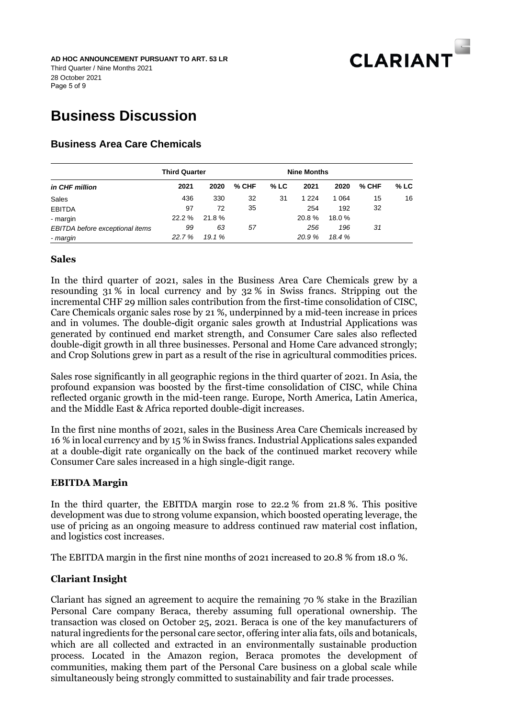

Page 5 of 9 **AD HOC ANNOUNCEMENT PURSUANT TO ART. 53 LR** Third Quarter / Nine Months 2021 28 October 2021

# **Business Discussion**

# **Business Area Care Chemicals**

|                                 | <b>Third Quarter</b> |        |         | <b>Nine Months</b> |         |         |         |        |
|---------------------------------|----------------------|--------|---------|--------------------|---------|---------|---------|--------|
| in CHF million                  | 2021                 | 2020   | $%$ CHF | $%$ LC             | 2021    | 2020    | $%$ CHF | $%$ LC |
| Sales                           | 436                  | 330    | 32      | 31                 | 1 2 2 4 | 1 0 6 4 | 15      | 16     |
| <b>EBITDA</b>                   | 97                   | 72     | 35      |                    | 254     | 192     | 32      |        |
| - margin                        | $22.2 \%$            | 21.8%  |         |                    | 20.8%   | 18.0%   |         |        |
| EBITDA before exceptional items | 99                   | 63     | 57      |                    | 256     | 196     | 31      |        |
| - margin                        | 22.7%                | 19.1 % |         |                    | 20.9%   | 18.4 %  |         |        |

# **Sales**

In the third quarter of 2021, sales in the Business Area Care Chemicals grew by a resounding 31 % in local currency and by 32 % in Swiss francs. Stripping out the incremental CHF 29 million sales contribution from the first-time consolidation of CISC, Care Chemicals organic sales rose by 21 %, underpinned by a mid-teen increase in prices and in volumes. The double-digit organic sales growth at Industrial Applications was generated by continued end market strength, and Consumer Care sales also reflected double-digit growth in all three businesses. Personal and Home Care advanced strongly; and Crop Solutions grew in part as a result of the rise in agricultural commodities prices.

Sales rose significantly in all geographic regions in the third quarter of 2021. In Asia, the profound expansion was boosted by the first-time consolidation of CISC, while China reflected organic growth in the mid-teen range. Europe, North America, Latin America, and the Middle East & Africa reported double-digit increases.

In the first nine months of 2021, sales in the Business Area Care Chemicals increased by 16 % in local currency and by 15 % in Swiss francs. Industrial Applications sales expanded at a double-digit rate organically on the back of the continued market recovery while Consumer Care sales increased in a high single-digit range.

# **EBITDA Margin**

In the third quarter, the EBITDA margin rose to 22.2 % from 21.8 %. This positive development was due to strong volume expansion, which boosted operating leverage, the use of pricing as an ongoing measure to address continued raw material cost inflation, and logistics cost increases.

The EBITDA margin in the first nine months of 2021 increased to 20.8 % from 18.0 %.

# **Clariant Insight**

Clariant has signed an agreement to acquire the remaining 70 % stake in the Brazilian Personal Care company Beraca, thereby assuming full operational ownership. The transaction was closed on October 25, 2021. Beraca is one of the key manufacturers of natural ingredients for the personal care sector, offering inter alia fats, oils and botanicals, which are all collected and extracted in an environmentally sustainable production process. Located in the Amazon region, Beraca promotes the development of communities, making them part of the Personal Care business on a global scale while simultaneously being strongly committed to sustainability and fair trade processes.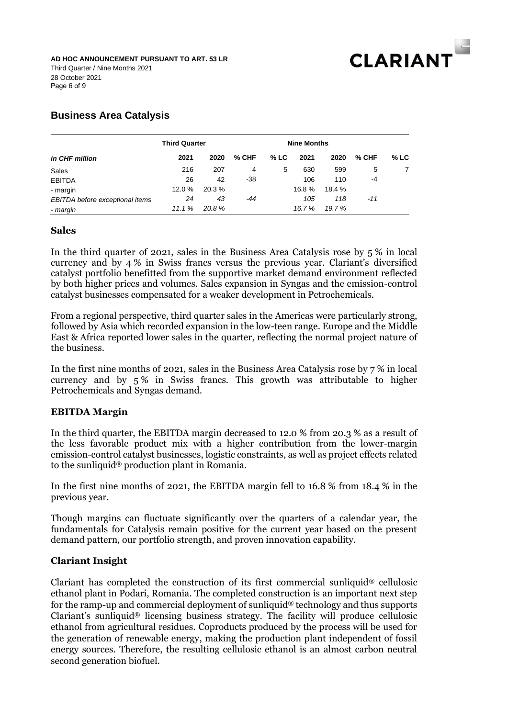

# **Business Area Catalysis**

|                                 | <b>Third Quarter</b> |       |         |        | <b>Nine Months</b> |        |       |        |
|---------------------------------|----------------------|-------|---------|--------|--------------------|--------|-------|--------|
| in CHF million                  | 2021                 | 2020  | $%$ CHF | $%$ LC | 2021               | 2020   | % CHF | $%$ LC |
| Sales                           | 216                  | 207   | 4       | 5      | 630                | 599    | 5     |        |
| <b>EBITDA</b>                   | 26                   | 42    | -38     |        | 106                | 110    | -4    |        |
| - margin                        | 12.0 %               | 20.3% |         |        | 16.8%              | 18.4 % |       |        |
| EBITDA before exceptional items | 24                   | 43    | -44     |        | 105                | 118    | $-11$ |        |
| - margin                        | 11.1%                | 20.8% |         |        | 16.7%              | 19.7 % |       |        |

# **Sales**

In the third quarter of 2021, sales in the Business Area Catalysis rose by 5 % in local currency and by 4 % in Swiss francs versus the previous year. Clariant's diversified catalyst portfolio benefitted from the supportive market demand environment reflected by both higher prices and volumes. Sales expansion in Syngas and the emission-control catalyst businesses compensated for a weaker development in Petrochemicals.

From a regional perspective, third quarter sales in the Americas were particularly strong, followed by Asia which recorded expansion in the low-teen range. Europe and the Middle East & Africa reported lower sales in the quarter, reflecting the normal project nature of the business.

In the first nine months of 2021, sales in the Business Area Catalysis rose by 7 % in local currency and by 5 % in Swiss francs. This growth was attributable to higher Petrochemicals and Syngas demand.

# **EBITDA Margin**

In the third quarter, the EBITDA margin decreased to 12.0 % from 20.3 % as a result of the less favorable product mix with a higher contribution from the lower-margin emission-control catalyst businesses, logistic constraints, as well as project effects related to the sunliquid® production plant in Romania.

In the first nine months of 2021, the EBITDA margin fell to 16.8 % from 18.4 % in the previous year.

Though margins can fluctuate significantly over the quarters of a calendar year, the fundamentals for Catalysis remain positive for the current year based on the present demand pattern, our portfolio strength, and proven innovation capability.

# **Clariant Insight**

Clariant has completed the construction of its first commercial sunliquid® cellulosic ethanol plant in Podari, Romania. The completed construction is an important next step for the ramp-up and commercial deployment of sunliquid® technology and thus supports Clariant's sunliquid® licensing business strategy. The facility will produce cellulosic ethanol from agricultural residues. Coproducts produced by the process will be used for the generation of renewable energy, making the production plant independent of fossil energy sources. Therefore, the resulting cellulosic ethanol is an almost carbon neutral second generation biofuel.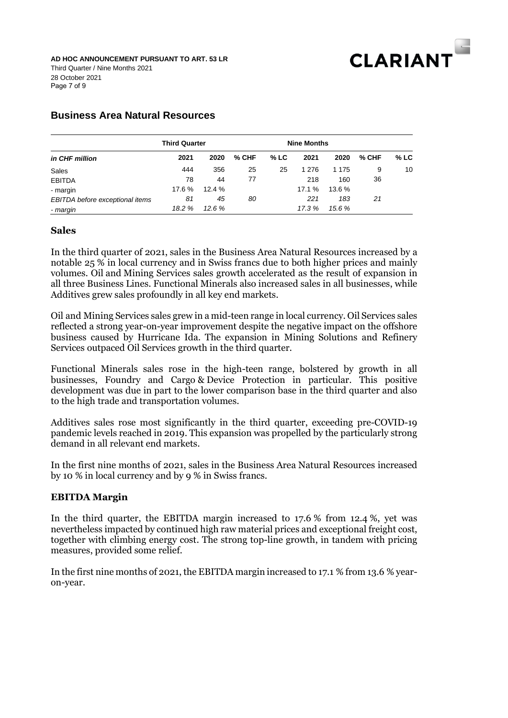

Page 7 of 9 **AD HOC ANNOUNCEMENT PURSUANT TO ART. 53 LR** Third Quarter / Nine Months 2021 28 October 2021

# **Business Area Natural Resources**

|                                 | <b>Third Quarter</b> |        |         | <b>Nine Months</b> |        |         |         |        |
|---------------------------------|----------------------|--------|---------|--------------------|--------|---------|---------|--------|
| in CHF million                  | 2021                 | 2020   | $%$ CHF | $%$ LC             | 2021   | 2020    | $%$ CHF | $%$ LC |
| Sales                           | 444                  | 356    | 25      | 25                 | 1 276  | 1 1 7 5 | 9       | 10     |
| <b>EBITDA</b>                   | 78                   | 44     | 77      |                    | 218    | 160     | 36      |        |
| - margin                        | 17.6 %               | 12.4%  |         |                    | 17.1 % | 13.6 %  |         |        |
| EBITDA before exceptional items | 81                   | 45     | 80      |                    | 221    | 183     | 21      |        |
| - margin                        | 18.2%                | 12.6 % |         |                    | 17.3 % | 15.6 %  |         |        |

## **Sales**

In the third quarter of 2021, sales in the Business Area Natural Resources increased by a notable 25 % in local currency and in Swiss francs due to both higher prices and mainly volumes. Oil and Mining Services sales growth accelerated as the result of expansion in all three Business Lines. Functional Minerals also increased sales in all businesses, while Additives grew sales profoundly in all key end markets.

Oil and Mining Services sales grew in a mid-teen range in local currency. Oil Services sales reflected a strong year-on-year improvement despite the negative impact on the offshore business caused by Hurricane Ida. The expansion in Mining Solutions and Refinery Services outpaced Oil Services growth in the third quarter.

Functional Minerals sales rose in the high-teen range, bolstered by growth in all businesses, Foundry and Cargo & Device Protection in particular. This positive development was due in part to the lower comparison base in the third quarter and also to the high trade and transportation volumes.

Additives sales rose most significantly in the third quarter, exceeding pre-COVID-19 pandemic levels reached in 2019. This expansion was propelled by the particularly strong demand in all relevant end markets.

In the first nine months of 2021, sales in the Business Area Natural Resources increased by 10 % in local currency and by 9 % in Swiss francs.

## **EBITDA Margin**

In the third quarter, the EBITDA margin increased to 17.6 % from 12.4 %, yet was nevertheless impacted by continued high raw material prices and exceptional freight cost, together with climbing energy cost. The strong top-line growth, in tandem with pricing measures, provided some relief.

In the first nine months of 2021, the EBITDA margin increased to 17.1 % from 13.6 % yearon-year.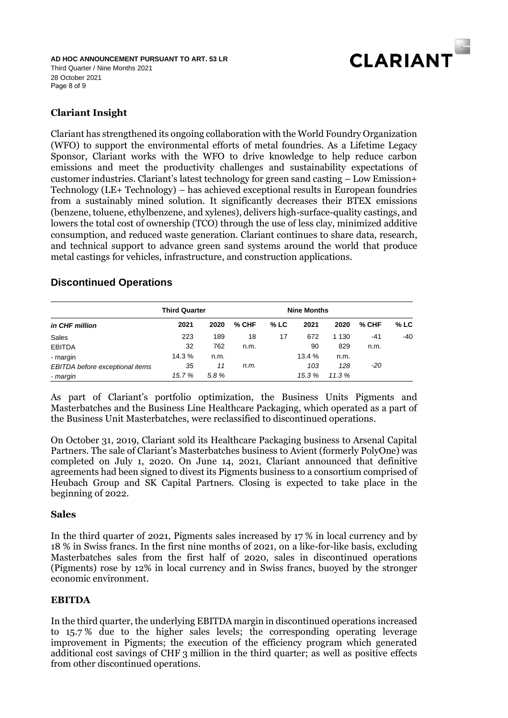

Page 8 of 9 **AD HOC ANNOUNCEMENT PURSUANT TO ART. 53 LR** Third Quarter / Nine Months 2021 28 October 2021

# **Clariant Insight**

Clariant has strengthened its ongoing collaboration with the World Foundry Organization (WFO) to support the environmental efforts of metal foundries. As a Lifetime Legacy Sponsor, Clariant works with the WFO to drive knowledge to help reduce carbon emissions and meet the productivity challenges and sustainability expectations of customer industries. Clariant's latest technology for green sand casting – Low Emission+ Technology (LE+ Technology) – has achieved exceptional results in European foundries from a sustainably mined solution. It significantly decreases their BTEX emissions (benzene, toluene, ethylbenzene, and xylenes), delivers high-surface-quality castings, and lowers the total cost of ownership (TCO) through the use of less clay, minimized additive consumption, and reduced waste generation. Clariant continues to share data, research, and technical support to advance green sand systems around the world that produce metal castings for vehicles, infrastructure, and construction applications.

# **Discontinued Operations**

|                                 | <b>Third Quarter</b> | <b>Nine Months</b> |         |        |        |         |       |        |
|---------------------------------|----------------------|--------------------|---------|--------|--------|---------|-------|--------|
| in CHF million                  | 2021                 | 2020               | $%$ CHF | $%$ LC | 2021   | 2020    | % CHF | $%$ LC |
| Sales                           | 223                  | 189                | 18      | 17     | 672    | 1 1 3 0 | $-41$ | -40    |
| <b>EBITDA</b>                   | 32                   | 762                | n.m.    |        | 90     | 829     | n.m.  |        |
| - margin                        | 14.3 %               | n.m.               |         |        | 13.4 % | n.m.    |       |        |
| EBITDA before exceptional items | 35                   | 11                 | n.m.    |        | 103    | 128     | -20   |        |
| - margin                        | 15.7 %               | 5.8%               |         |        | 15.3 % | 11.3%   |       |        |

As part of Clariant's portfolio optimization, the Business Units Pigments and Masterbatches and the Business Line Healthcare Packaging, which operated as a part of the Business Unit Masterbatches, were reclassified to discontinued operations.

On October 31, 2019, Clariant sold its Healthcare Packaging business to Arsenal Capital Partners. The sale of Clariant's Masterbatches business to Avient (formerly PolyOne) was completed on July 1, 2020. On June 14, 2021, Clariant announced that definitive agreements had been signed to divest its Pigments business to a consortium comprised of Heubach Group and SK Capital Partners. Closing is expected to take place in the beginning of 2022.

# **Sales**

In the third quarter of 2021, Pigments sales increased by 17 % in local currency and by 18 % in Swiss francs. In the first nine months of 2021, on a like-for-like basis, excluding Masterbatches sales from the first half of 2020, sales in discontinued operations (Pigments) rose by 12% in local currency and in Swiss francs, buoyed by the stronger economic environment.

# **EBITDA**

In the third quarter, the underlying EBITDA margin in discontinued operations increased to 15.7 % due to the higher sales levels; the corresponding operating leverage improvement in Pigments; the execution of the efficiency program which generated additional cost savings of CHF 3 million in the third quarter; as well as positive effects from other discontinued operations.